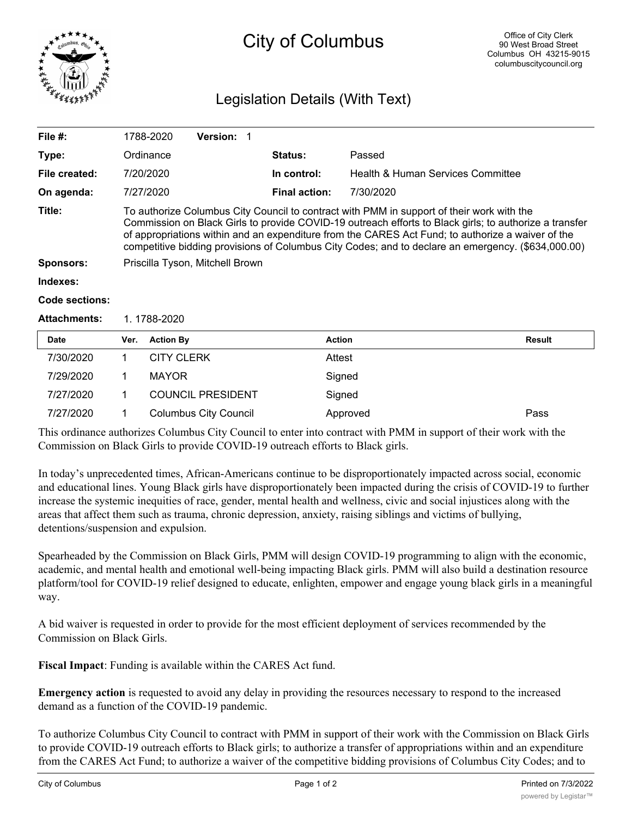

## City of Columbus

## Legislation Details (With Text)

| File #:             |                                                                                                                                                                                                                                                                                                                                                                                                                | 1788-2020         | <b>Version: 1</b> |  |                      |                                   |        |
|---------------------|----------------------------------------------------------------------------------------------------------------------------------------------------------------------------------------------------------------------------------------------------------------------------------------------------------------------------------------------------------------------------------------------------------------|-------------------|-------------------|--|----------------------|-----------------------------------|--------|
| Type:               |                                                                                                                                                                                                                                                                                                                                                                                                                | Ordinance         |                   |  | <b>Status:</b>       | Passed                            |        |
| File created:       |                                                                                                                                                                                                                                                                                                                                                                                                                | 7/20/2020         |                   |  | In control:          | Health & Human Services Committee |        |
| On agenda:          |                                                                                                                                                                                                                                                                                                                                                                                                                | 7/27/2020         |                   |  | <b>Final action:</b> | 7/30/2020                         |        |
| Title:              | To authorize Columbus City Council to contract with PMM in support of their work with the<br>Commission on Black Girls to provide COVID-19 outreach efforts to Black girls; to authorize a transfer<br>of appropriations within and an expenditure from the CARES Act Fund; to authorize a waiver of the<br>competitive bidding provisions of Columbus City Codes; and to declare an emergency. (\$634,000.00) |                   |                   |  |                      |                                   |        |
| <b>Sponsors:</b>    | Priscilla Tyson, Mitchell Brown                                                                                                                                                                                                                                                                                                                                                                                |                   |                   |  |                      |                                   |        |
| Indexes:            |                                                                                                                                                                                                                                                                                                                                                                                                                |                   |                   |  |                      |                                   |        |
| Code sections:      |                                                                                                                                                                                                                                                                                                                                                                                                                |                   |                   |  |                      |                                   |        |
| <b>Attachments:</b> | 1.1788-2020                                                                                                                                                                                                                                                                                                                                                                                                    |                   |                   |  |                      |                                   |        |
| <b>Date</b>         | Ver.                                                                                                                                                                                                                                                                                                                                                                                                           | <b>Action By</b>  |                   |  | <b>Action</b>        |                                   | Result |
| 7/30/2020           | 1                                                                                                                                                                                                                                                                                                                                                                                                              | <b>CITY CLERK</b> |                   |  | Attest               |                                   |        |
| 7/29/2020           | 1                                                                                                                                                                                                                                                                                                                                                                                                              | <b>MAYOR</b>      |                   |  | Signed               |                                   |        |

7/27/2020 1 Columbus City Council Approved Pass This ordinance authorizes Columbus City Council to enter into contract with PMM in support of their work with the Commission on Black Girls to provide COVID-19 outreach efforts to Black girls.

In today's unprecedented times, African-Americans continue to be disproportionately impacted across social, economic and educational lines. Young Black girls have disproportionately been impacted during the crisis of COVID-19 to further increase the systemic inequities of race, gender, mental health and wellness, civic and social injustices along with the areas that affect them such as trauma, chronic depression, anxiety, raising siblings and victims of bullying, detentions/suspension and expulsion.

Spearheaded by the Commission on Black Girls, PMM will design COVID-19 programming to align with the economic, academic, and mental health and emotional well-being impacting Black girls. PMM will also build a destination resource platform/tool for COVID-19 relief designed to educate, enlighten, empower and engage young black girls in a meaningful way.

A bid waiver is requested in order to provide for the most efficient deployment of services recommended by the Commission on Black Girls.

**Fiscal Impact**: Funding is available within the CARES Act fund.

7/27/2020 1 COUNCIL PRESIDENT Signed

**Emergency action** is requested to avoid any delay in providing the resources necessary to respond to the increased demand as a function of the COVID-19 pandemic.

To authorize Columbus City Council to contract with PMM in support of their work with the Commission on Black Girls to provide COVID-19 outreach efforts to Black girls; to authorize a transfer of appropriations within and an expenditure from the CARES Act Fund; to authorize a waiver of the competitive bidding provisions of Columbus City Codes; and to